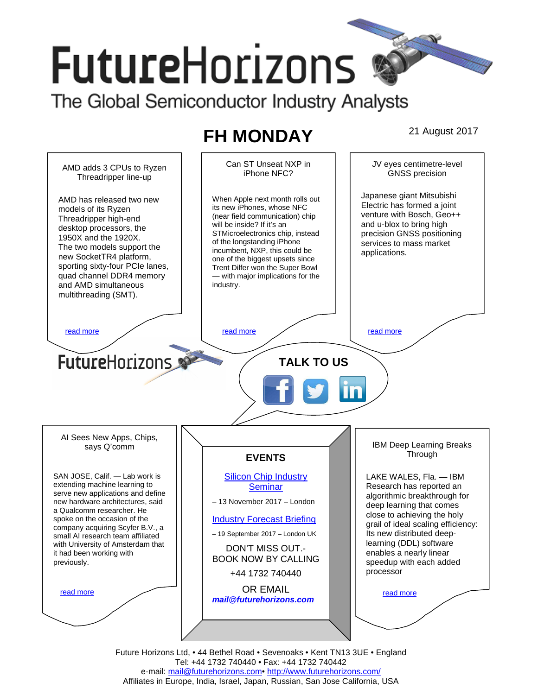# **FutureHorizons** The Global Semiconductor Industry Analysts

**FH MONDAY** 21 August 2017



Future Horizons Ltd, • 44 Bethel Road • Sevenoaks • Kent TN13 3UE • England Tel: +44 1732 740440 • Fax: +44 1732 740442 e-mail: mail@futurehorizons.com• http://www.futurehorizons.com/ Affiliates in Europe, India, Israel, Japan, Russian, San Jose California, USA